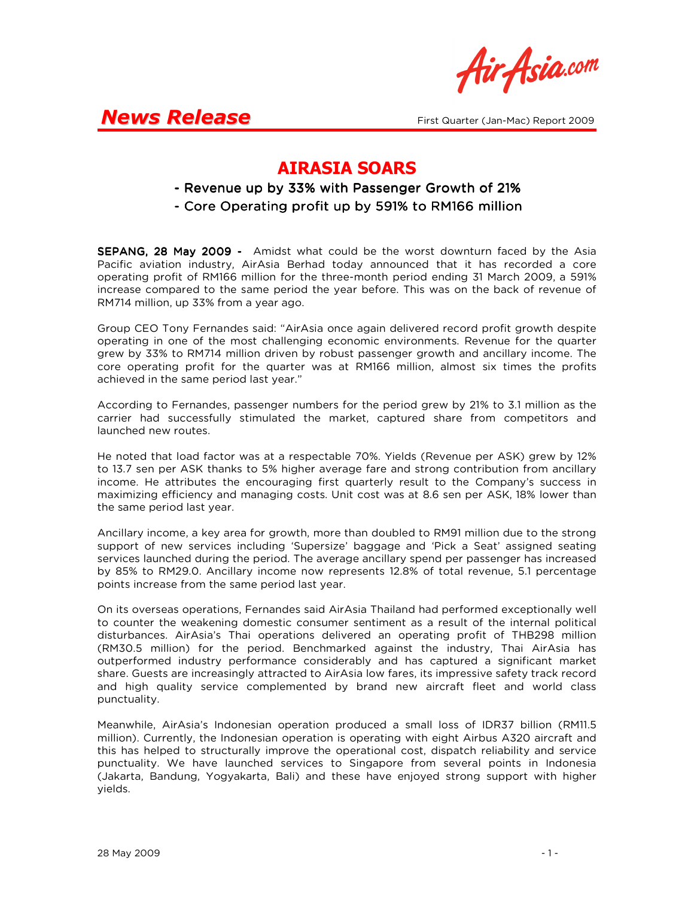Air Asia.com

## **News Release** First Quarter (Jan-Mac) Report 2009

### AIRASIA SOARS

- Revenue up by 33% with Passenger Growth of 21%
- Core Operating profit up by 591% to RM166 million

SEPANG, 28 May 2009 - Amidst what could be the worst downturn faced by the Asia Pacific aviation industry, AirAsia Berhad today announced that it has recorded a core operating profit of RM166 million for the three-month period ending 31 March 2009, a 591% increase compared to the same period the year before. This was on the back of revenue of RM714 million, up 33% from a year ago.

Group CEO Tony Fernandes said: "AirAsia once again delivered record profit growth despite operating in one of the most challenging economic environments. Revenue for the quarter grew by 33% to RM714 million driven by robust passenger growth and ancillary income. The core operating profit for the quarter was at RM166 million, almost six times the profits achieved in the same period last year."

According to Fernandes, passenger numbers for the period grew by 21% to 3.1 million as the carrier had successfully stimulated the market, captured share from competitors and launched new routes.

He noted that load factor was at a respectable 70%. Yields (Revenue per ASK) grew by 12% to 13.7 sen per ASK thanks to 5% higher average fare and strong contribution from ancillary income. He attributes the encouraging first quarterly result to the Company's success in maximizing efficiency and managing costs. Unit cost was at 8.6 sen per ASK, 18% lower than the same period last year.

Ancillary income, a key area for growth, more than doubled to RM91 million due to the strong support of new services including 'Supersize' baggage and 'Pick a Seat' assigned seating services launched during the period. The average ancillary spend per passenger has increased by 85% to RM29.0. Ancillary income now represents 12.8% of total revenue, 5.1 percentage points increase from the same period last year.

On its overseas operations, Fernandes said AirAsia Thailand had performed exceptionally well to counter the weakening domestic consumer sentiment as a result of the internal political disturbances. AirAsia's Thai operations delivered an operating profit of THB298 million (RM30.5 million) for the period. Benchmarked against the industry, Thai AirAsia has outperformed industry performance considerably and has captured a significant market share. Guests are increasingly attracted to AirAsia low fares, its impressive safety track record and high quality service complemented by brand new aircraft fleet and world class punctuality.

Meanwhile, AirAsia's Indonesian operation produced a small loss of IDR37 billion (RM11.5 million). Currently, the Indonesian operation is operating with eight Airbus A320 aircraft and this has helped to structurally improve the operational cost, dispatch reliability and service punctuality. We have launched services to Singapore from several points in Indonesia (Jakarta, Bandung, Yogyakarta, Bali) and these have enjoyed strong support with higher yields.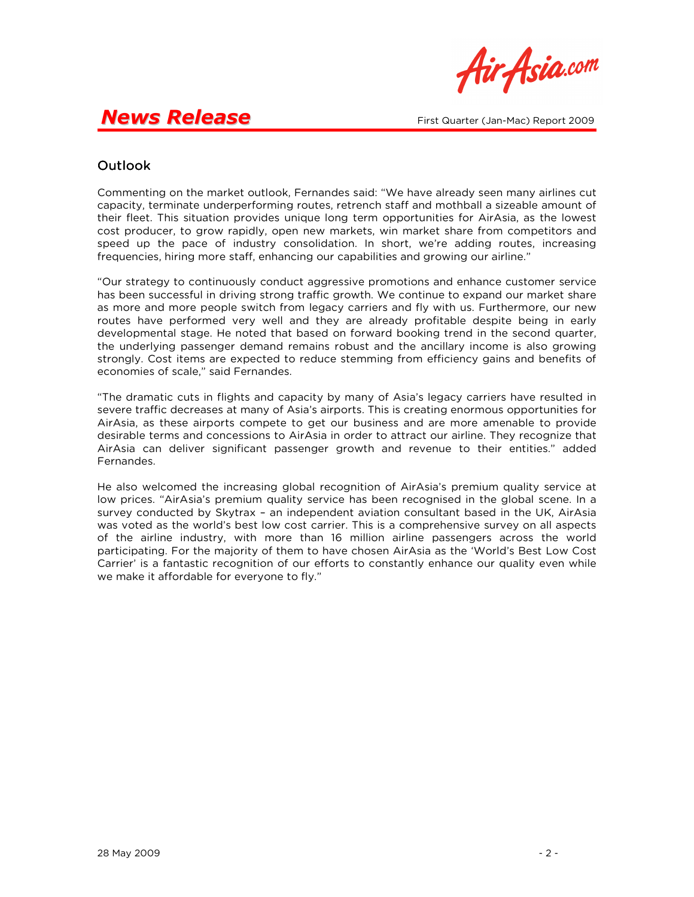

## **News Release** First Quarter (Jan-Mac) Report 2009

### **Outlook**

Commenting on the market outlook, Fernandes said: "We have already seen many airlines cut capacity, terminate underperforming routes, retrench staff and mothball a sizeable amount of their fleet. This situation provides unique long term opportunities for AirAsia, as the lowest cost producer, to grow rapidly, open new markets, win market share from competitors and speed up the pace of industry consolidation. In short, we're adding routes, increasing frequencies, hiring more staff, enhancing our capabilities and growing our airline."

"Our strategy to continuously conduct aggressive promotions and enhance customer service has been successful in driving strong traffic growth. We continue to expand our market share as more and more people switch from legacy carriers and fly with us. Furthermore, our new routes have performed very well and they are already profitable despite being in early developmental stage. He noted that based on forward booking trend in the second quarter, the underlying passenger demand remains robust and the ancillary income is also growing strongly. Cost items are expected to reduce stemming from efficiency gains and benefits of economies of scale," said Fernandes.

"The dramatic cuts in flights and capacity by many of Asia's legacy carriers have resulted in severe traffic decreases at many of Asia's airports. This is creating enormous opportunities for AirAsia, as these airports compete to get our business and are more amenable to provide desirable terms and concessions to AirAsia in order to attract our airline. They recognize that AirAsia can deliver significant passenger growth and revenue to their entities." added Fernandes.

He also welcomed the increasing global recognition of AirAsia's premium quality service at low prices. "AirAsia's premium quality service has been recognised in the global scene. In a survey conducted by Skytrax – an independent aviation consultant based in the UK, AirAsia was voted as the world's best low cost carrier. This is a comprehensive survey on all aspects of the airline industry, with more than 16 million airline passengers across the world participating. For the majority of them to have chosen AirAsia as the 'World's Best Low Cost Carrier' is a fantastic recognition of our efforts to constantly enhance our quality even while we make it affordable for everyone to fly."